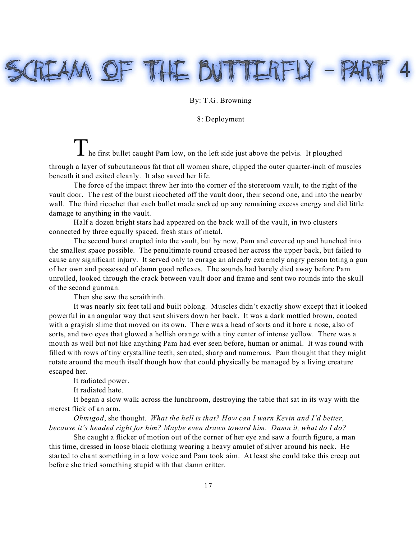# IEAM OF THE BUTTERFLY - PA

## By: T.G. Browning

### 8: Deployment

I he first bullet caught Pam low, on the left side just above the pelvis. It ploughed through a layer of subcutaneous fat that all women share, clipped the outer quarter-inch of muscles beneath it and exited cleanly. It also saved her life.

The force of the impact threw her into the corner of the storeroom vault, to the right of the vault door. The rest of the burst ricocheted off the vault door, their second one, and into the nearby wall. The third ricochet that each bullet made sucked up any remaining excess energy and did little damage to anything in the vault.

Half a dozen bright stars had appeared on the back wall of the vault, in two clusters connected by three equally spaced, fresh stars of metal.

The second burst erupted into the vault, but by now, Pam and covered up and hunched into the smallest space possible. The penultimate round creased her across the upper back, but failed to cause any significant injury. It served only to enrage an already extremely angry person toting a gun of her own and possessed of damn good reflexes. The sounds had barely died away before Pam unrolled, looked through the crack between vault door and frame and sent two rounds into the skull of the second gunman.

Then she saw the scraithinth.

It was nearly six feet tall and built oblong. Muscles didn't exactly show except that it looked powerful in an angular way that sent shivers down her back. It was a dark mottled brown, coated with a grayish slime that moved on its own. There was a head of sorts and it bore a nose, also of sorts, and two eyes that glowed a hellish orange with a tiny center of intense yellow. There was a mouth as well but not like anything Pam had ever seen before, human or animal. It was round with filled with rows of tiny crystalline teeth, serrated, sharp and numerous. Pam thought that they might rotate around the mouth itself though how that could physically be managed by a living creature escaped her.

It radiated power.

It radiated hate.

It began a slow walk across the lunchroom, destroying the table that sat in its way with the merest flick of an arm.

*Ohmigod*, she thought. *What the hell is that? How can I warn Kevin and I'd better, because it's headed right for him? Maybe even drawn toward him. Damn it, what do I do?*

She caught a flicker of motion out of the corner of her eye and saw a fourth figure, a man this time, dressed in loose black clothing wearing a heavy amulet of silver around his neck. He started to chant something in a low voice and Pam took aim. At least she could take this creep out before she tried something stupid with that damn critter.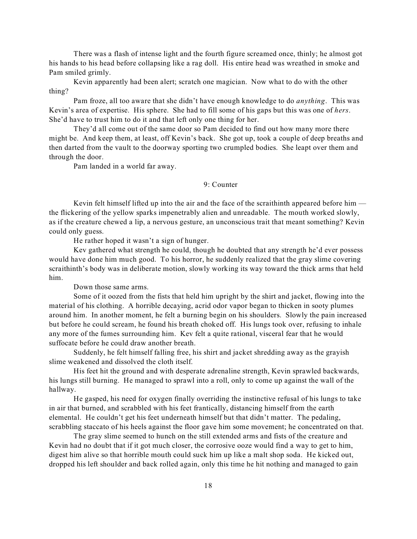There was a flash of intense light and the fourth figure screamed once, thinly; he almost got his hands to his head before collapsing like a rag doll. His entire head was wreathed in smoke and Pam smiled grimly.

Kevin apparently had been alert; scratch one magician. Now what to do with the other thing?

Pam froze, all too aware that she didn't have enough knowledge to do *anything*. This was Kevin's area of expertise. His sphere. She had to fill some of his gaps but this was one of *hers*. She'd have to trust him to do it and that left only one thing for her.

They'd all come out of the same door so Pam decided to find out how many more there might be. And keep them, at least, off Kevin's back. She got up, took a couple of deep breaths and then darted from the vault to the doorway sporting two crumpled bodies. She leapt over them and through the door.

Pam landed in a world far away.

# 9: Counter

Kevin felt himself lifted up into the air and the face of the scraithinth appeared before him the flickering of the yellow sparks impenetrably alien and unreadable. The mouth worked slowly, as if the creature chewed a lip, a nervous gesture, an unconscious trait that meant something? Kevin could only guess.

He rather hoped it wasn't a sign of hunger.

Kev gathered what strength he could, though he doubted that any strength he'd ever possess would have done him much good. To his horror, he suddenly realized that the gray slime covering scraithinth's body was in deliberate motion, slowly working its way toward the thick arms that held him.

Down those same arms.

Some of it oozed from the fists that held him upright by the shirt and jacket, flowing into the material of his clothing. A horrible decaying, acrid odor vapor began to thicken in sooty plumes around him. In another moment, he felt a burning begin on his shoulders. Slowly the pain increased but before he could scream, he found his breath choked off. His lungs took over, refusing to inhale any more of the fumes surrounding him. Kev felt a quite rational, visceral fear that he would suffocate before he could draw another breath.

Suddenly, he felt himself falling free, his shirt and jacket shredding away as the grayish slime weakened and dissolved the cloth itself.

His feet hit the ground and with desperate adrenaline strength, Kevin sprawled backwards, his lungs still burning. He managed to sprawl into a roll, only to come up against the wall of the hallway.

He gasped, his need for oxygen finally overriding the instinctive refusal of his lungs to take in air that burned, and scrabbled with his feet frantically, distancing himself from the earth elemental. He couldn't get his feet underneath himself but that didn't matter. The pedaling, scrabbling staccato of his heels against the floor gave him some movement; he concentrated on that.

The gray slime seemed to hunch on the still extended arms and fists of the creature and Kevin had no doubt that if it got much closer, the corrosive ooze would find a way to get to him, digest him alive so that horrible mouth could suck him up like a malt shop soda. He kicked out, dropped his left shoulder and back rolled again, only this time he hit nothing and managed to gain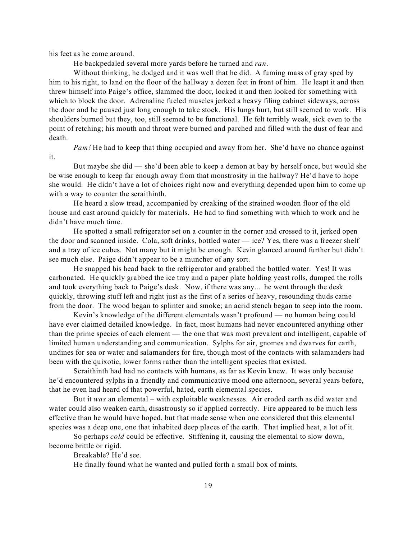his feet as he came around.

He backpedaled several more yards before he turned and *ran*.

Without thinking, he dodged and it was well that he did. A fuming mass of gray sped by him to his right, to land on the floor of the hallway a dozen feet in front of him. He leapt it and then threw himself into Paige's office, slammed the door, locked it and then looked for something with which to block the door. Adrenaline fueled muscles jerked a heavy filing cabinet sideways, across the door and he paused just long enough to take stock. His lungs hurt, but still seemed to work. His shoulders burned but they, too, still seemed to be functional. He felt terribly weak, sick even to the point of retching; his mouth and throat were burned and parched and filled with the dust of fear and death.

*Pam!* He had to keep that thing occupied and away from her. She'd have no chance against it.

But maybe she did — she'd been able to keep a demon at bay by herself once, but would she be wise enough to keep far enough away from that monstrosity in the hallway? He'd have to hope she would. He didn't have a lot of choices right now and everything depended upon him to come up with a way to counter the scraithinth.

He heard a slow tread, accompanied by creaking of the strained wooden floor of the old house and cast around quickly for materials. He had to find something with which to work and he didn't have much time.

He spotted a small refrigerator set on a counter in the corner and crossed to it, jerked open the door and scanned inside. Cola, soft drinks, bottled water  $-$  ice? Yes, there was a freezer shelf and a tray of ice cubes. Not many but it might be enough. Kevin glanced around further but didn't see much else. Paige didn't appear to be a muncher of any sort.

He snapped his head back to the refrigerator and grabbed the bottled water. Yes! It was carbonated. He quickly grabbed the ice tray and a paper plate holding yeast rolls, dumped the rolls and took everything back to Paige's desk. Now, if there was any... he went through the desk quickly, throwing stuff left and right just as the first of a series of heavy, resounding thuds came from the door. The wood began to splinter and smoke; an acrid stench began to seep into the room.

Kevin's knowledge of the different elementals wasn't profound — no human being could have ever claimed detailed knowledge. In fact, most humans had never encountered anything other than the prime species of each element — the one that was most prevalent and intelligent, capable of limited human understanding and communication. Sylphs for air, gnomes and dwarves for earth, undines for sea or water and salamanders for fire, though most of the contacts with salamanders had been with the quixotic, lower forms rather than the intelligent species that existed.

Scraithinth had had no contacts with humans, as far as Kevin knew. It was only because he'd encountered sylphs in a friendly and communicative mood one afternoon, several years before, that he even had heard of that powerful, hated, earth elemental species.

But it *was* an elemental – with exploitable weaknesses. Air eroded earth as did water and water could also weaken earth, disastrously so if applied correctly. Fire appeared to be much less effective than he would have hoped, but that made sense when one considered that this elemental species was a deep one, one that inhabited deep places of the earth. That implied heat, a lot of it.

So perhaps *cold* could be effective. Stiffening it, causing the elemental to slow down, become brittle or rigid.

Breakable? He'd see.

He finally found what he wanted and pulled forth a small box of mints.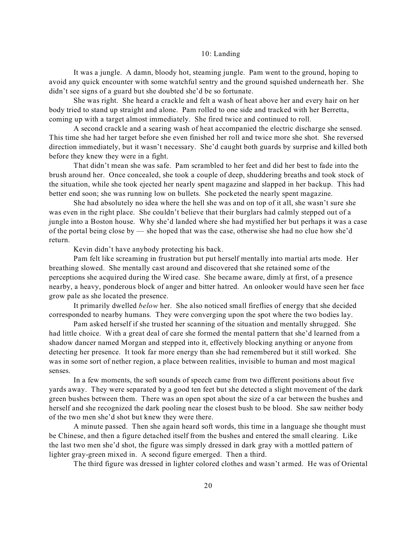#### 10: Landing

It was a jungle. A damn, bloody hot, steaming jungle. Pam went to the ground, hoping to avoid any quick encounter with some watchful sentry and the ground squished underneath her. She didn't see signs of a guard but she doubted she'd be so fortunate.

She was right. She heard a crackle and felt a wash of heat above her and every hair on her body tried to stand up straight and alone. Pam rolled to one side and tracked with her Berretta, coming up with a target almost immediately. She fired twice and continued to roll.

A second crackle and a searing wash of heat accompanied the electric discharge she sensed. This time she had her target before she even finished her roll and twice more she shot. She reversed direction immediately, but it wasn't necessary. She'd caught both guards by surprise and killed both before they knew they were in a fight.

That didn't mean she was safe. Pam scrambled to her feet and did her best to fade into the brush around her. Once concealed, she took a couple of deep, shuddering breaths and took stock of the situation, while she took ejected her nearly spent magazine and slapped in her backup. This had better end soon; she was running low on bullets. She pocketed the nearly spent magazine.

She had absolutely no idea where the hell she was and on top of it all, she wasn't sure she was even in the right place. She couldn't believe that their burglars had calmly stepped out of a jungle into a Boston house. Why she'd landed where she had mystified her but perhaps it was a case of the portal being close by — she hoped that was the case, otherwise she had no clue how she'd return.

Kevin didn't have anybody protecting his back.

Pam felt like screaming in frustration but put herself mentally into martial arts mode. Her breathing slowed. She mentally cast around and discovered that she retained some of the perceptions she acquired during the Wired case. She became aware, dimly at first, of a presence nearby, a heavy, ponderous block of anger and bitter hatred. An onlooker would have seen her face grow pale as she located the presence.

It primarily dwelled *below* her. She also noticed small fireflies of energy that she decided corresponded to nearby humans. They were converging upon the spot where the two bodies lay.

Pam asked herself if she trusted her scanning of the situation and mentally shrugged. She had little choice. With a great deal of care she formed the mental pattern that she'd learned from a shadow dancer named Morgan and stepped into it, effectively blocking anything or anyone from detecting her presence. It took far more energy than she had remembered but it still worked. She was in some sort of nether region, a place between realities, invisible to human and most magical senses.

In a few moments, the soft sounds of speech came from two different positions about five yards away. They were separated by a good ten feet but she detected a slight movement of the dark green bushes between them. There was an open spot about the size of a car between the bushes and herself and she recognized the dark pooling near the closest bush to be blood. She saw neither body of the two men she'd shot but knew they were there.

A minute passed. Then she again heard soft words, this time in a language she thought must be Chinese, and then a figure detached itself from the bushes and entered the small clearing. Like the last two men she'd shot, the figure was simply dressed in dark gray with a mottled pattern of lighter gray-green mixed in. A second figure emerged. Then a third.

The third figure was dressed in lighter colored clothes and wasn't armed. He was of Oriental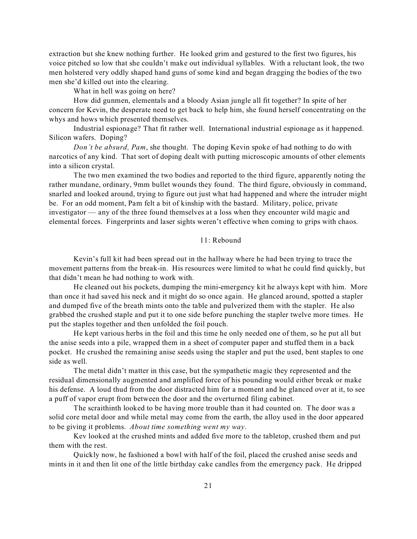extraction but she knew nothing further. He looked grim and gestured to the first two figures, his voice pitched so low that she couldn't make out individual syllables. With a reluctant look, the two men holstered very oddly shaped hand guns of some kind and began dragging the bodies of the two men she'd killed out into the clearing.

What in hell was going on here?

How did gunmen, elementals and a bloody Asian jungle all fit together? In spite of her concern for Kevin, the desperate need to get back to help him, she found herself concentrating on the whys and hows which presented themselves.

Industrial espionage? That fit rather well. International industrial espionage as it happened. Silicon wafers. Doping?

*Don't be absurd, Pam*, she thought. The doping Kevin spoke of had nothing to do with narcotics of any kind. That sort of doping dealt with putting microscopic amounts of other elements into a silicon crystal.

The two men examined the two bodies and reported to the third figure, apparently noting the rather mundane, ordinary, 9mm bullet wounds they found. The third figure, obviously in command, snarled and looked around, trying to figure out just what had happened and where the intruder might be. For an odd moment, Pam felt a bit of kinship with the bastard. Military, police, private investigator — any of the three found themselves at a loss when they encounter wild magic and elemental forces. Fingerprints and laser sights weren't effective when coming to grips with chaos.

#### 11: Rebound

Kevin's full kit had been spread out in the hallway where he had been trying to trace the movement patterns from the break-in. His resources were limited to what he could find quickly, but that didn't mean he had nothing to work with.

He cleaned out his pockets, dumping the mini-emergency kit he always kept with him. More than once it had saved his neck and it might do so once again. He glanced around, spotted a stapler and dumped five of the breath mints onto the table and pulverized them with the stapler. He also grabbed the crushed staple and put it to one side before punching the stapler twelve more times. He put the staples together and then unfolded the foil pouch.

He kept various herbs in the foil and this time he only needed one of them, so he put all but the anise seeds into a pile, wrapped them in a sheet of computer paper and stuffed them in a back pocket. He crushed the remaining anise seeds using the stapler and put the used, bent staples to one side as well.

The metal didn't matter in this case, but the sympathetic magic they represented and the residual dimensionally augmented and amplified force of his pounding would either break or make his defense. A loud thud from the door distracted him for a moment and he glanced over at it, to see a puff of vapor erupt from between the door and the overturned filing cabinet.

The scraithinth looked to be having more trouble than it had counted on. The door was a solid core metal door and while metal may come from the earth, the alloy used in the door appeared to be giving it problems. *About time something went my way*.

Kev looked at the crushed mints and added five more to the tabletop, crushed them and put them with the rest.

Quickly now, he fashioned a bowl with half of the foil, placed the crushed anise seeds and mints in it and then lit one of the little birthday cake candles from the emergency pack. He dripped